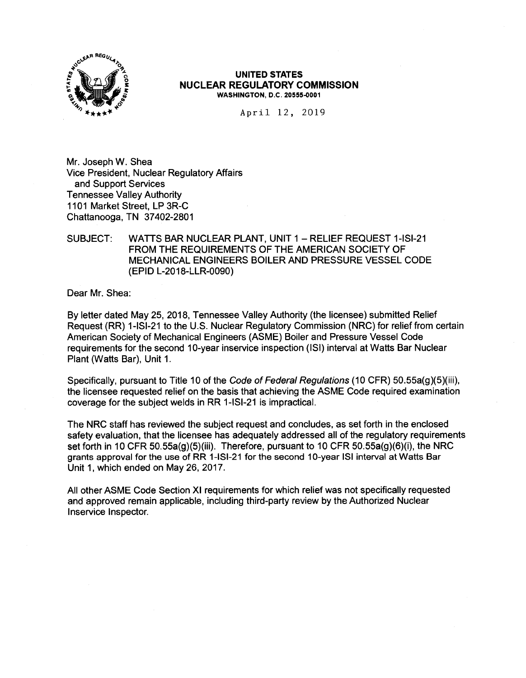

#### **UNITED STATES NUCLEAR REGULATORY COMMISSION WASHINGTON, D.C. 20555-0001**

April 12, 2019

Mr. Joseph W. Shea Vice President, Nuclear Regulatory Affairs and Support Services Tennessee Valley Authority 1101 Market Street, LP 3R-C Chattanooga, TN 37402-2801

# SUBJECT: WATTS BAR NUCLEAR PLANT, UNIT 1 - RELIEF REQUEST 1-ISI-21 FROM THE REQUIREMENTS OF THE AMERICAN SOCIETY OF MECHANICAL ENGINEERS BOILER AND PRESSURE VESSEL CODE (EPID L-2018-LLR-0090)

Dear Mr. Shea:

By letter dated May 25, 2018, Tennessee Valley Authority (the licensee) submitted Relief Request (RR) 1-ISl-21 to the U.S. Nuclear Regulatory Commission (NRC) for relief from certain American Society of Mechanical Engineers (ASME) Boiler and Pressure Vessel Code requirements for the second 10-year inservice inspection (ISi) interval at Watts Bar Nuclear Plant (Watts Bar), Unit 1.

Specifically, pursuant to Title 10 of the Code of Federal Regulations (10 CFR) 50.55a(g)(5)(iii), the licensee requested relief on the basis that achieving the ASME Code required examination coverage for the subject welds in RR 1-ISl-21 is impractical.

The NRC staff has reviewed the subject request and concludes, as set forth in the enclosed safety evaluation, that the licensee has adequately addressed all of the regulatory requirements set forth in 10 CFR 50.55a(g)(5)(iii). Therefore, pursuant to 10 CFR 50.55a(g)(6)(i), the NRC grants approval for the use of RR 1-ISl-21 for the second 10-year ISi interval at Watts Bar Unit 1, which ended on May 26, 2017.

All other ASME Code Section XI requirements for which relief was not specifically requested and approved remain applicable, including third-party review by the Authorized Nuclear lnservice Inspector.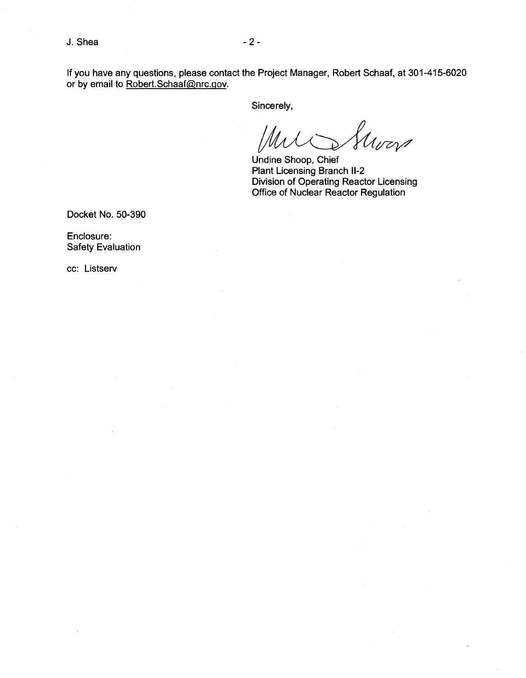$J. Shea$   $-2$  -

If you have any questions, please contact the Project Manager, Robert Schaaf, at 301-415-6020 or by email to Robert.Schaaf@nrc.gov.

Sincerely,

Groen

Undine Shoop, Chief Plant Licensing Branch 11-2 Division of Operating Reactor Licensing Office of Nuclear Reactor Regulation

Docket No. 50-390

Enclosure: Safety Evaluation

cc: Listserv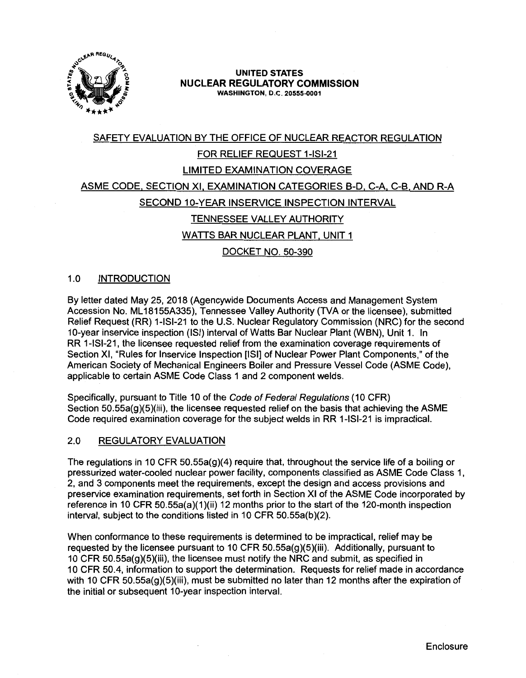

## **UNITED STATES NUCLEAR REGULATORY COMMISSION WASHINGTON, D.C. 20555-0001**

# SAFETY EVALUATION BY THE OFFICE OF NUCLEAR REACTOR REGULATION FOR RELIEF REQUEST 1-ISl-21 LIMITED EXAMINATION COVERAGE ASME CODE. SECTION XI, EXAMINATION CATEGORIES 8-D. C-A. C-81 AND R-A SECOND 10-YEAR INSERVICE INSPECTION INTERVAL TENNESSEE VALLEY AUTHORITY WATTS BAR NUCLEAR PLANT, UNIT 1 DOCKET NO. 50-390

# 1.0 INTRODUCTION

By letter dated May 25, 2018 (Agencywide Documents Access and Management System Accession No. ML 18155A335), Tennessee Valley Authority (TVA or the licensee), submitted Relief Request (RR) 1-ISl-21 to the U.S. Nuclear Regulatory Commission (NRC) for the second 10-year inservice inspection (ISi) interval of Watts Bar Nuclear Plant (WBN), Unit 1. In RR 1-ISl-21, the licensee requested relief from the examination coverage requirements of Section XI, "Rules for lnservice Inspection [ISi] of Nuclear Power Plant Components," of the American Society of Mechanical Engineers Boiler and Pressure Vessel Code (ASME Code), applicable to certain ASME Code Class 1 and 2 component welds.

Specifically, pursuant to Title 10 of the Code of Federal Regulations (10 CFR) Section 50.55a(g)(5)(iii), the licensee requested relief on the basis that achieving the ASME Code required examination coverage for the subject welds in RR 1-ISl-21 is impractical.

# 2.0 REGULATORY EVALUATION

The regulations in 10 CFR 50.55a(g)(4) require that, throughout the service life of a boiling or pressurized water-cooled nuclear power facility, components classified as ASME Code Class 1, 2, and 3 components meet the requirements, except the design and access provisions and preservice examination requirements, set forth in Section XI of the ASME Code incorporated by reference in 10 CFR 50.55a(a)(1)(ii) 12 months prior to the start of the 120-month inspection interval, subject to the conditions listed in 10 CFR 50.55a(b)(2).

When conformance to these requirements is determined to be impractical, relief may be requested by the licensee pursuant to 10 CFR  $50.55a(g)(5)(iii)$ . Additionally, pursuant to 10 CFR 50.55a(g)(5)(iii), the licensee must notify the NRC and submit, as specified in 1 O CFR 50.4, information to support the determination. Requests for relief made in accordance with 10 CFR 50.55a(g)(5)(iii), must be submitted no later than 12 months after the expiration of the initial or subsequent 10-year inspection interval.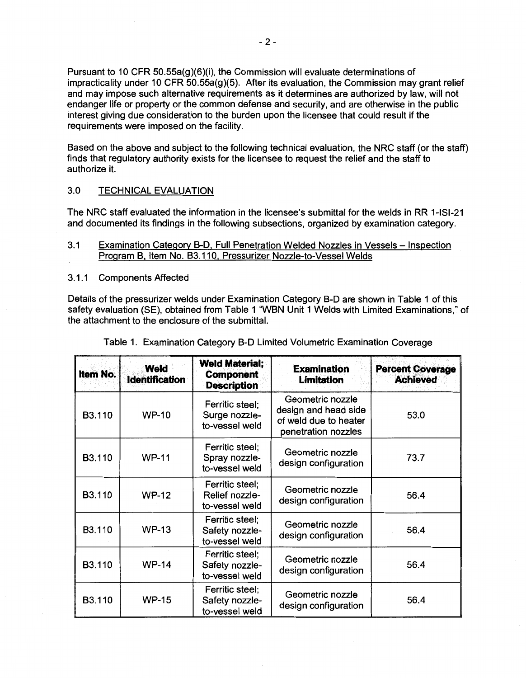Pursuant to 10 CFR 50.55a(g)(6)(i), the Commission will evaluate determinations of impracticality under 10 CFR 50.55a(g)(5). After its evaluation, the Commission may grant relief and may impose such alternative requirements as it determines are authorized by law, will not endanger life or property or the common defense and security, and are otherwise in the public interest giving due consideration to the burden upon the licensee that could result if the requirements were imposed on the facility.

Based on the above and subject to the following technical evaluation, the NRC staff (or the staff) finds that regulatory authority exists for the licensee to request the relief and the staff to authorize it.

# 3.0 TECHNICAL EVALUATION

The NRC staff evaluated the information in the licensee's submittal for the welds in RR 1-ISl-21 and documented its findings in the following subsections, organized by examination category.

- 3.1 Examination Category B-D, Full Penetration Welded Nozzles in Vessels Inspection Program B, Item No. 83.110, Pressurizer Nozzle-to-Vessel Welds
- 3.1.1 Components Affected

Details of the pressurizer welds under Examination Category B-D are shown in Table 1 of this safety evaluation (SE), obtained from Table 1 "WBN Unit 1 Welds with Limited Examinations," of the attachment to the enclosure of the submittal.

| Item No. | Weld<br><b>Identification</b> | <b>Weld Material;</b><br><b>Component</b><br><b>Description</b> | <b>Examination</b><br><b>Limitation</b>                                                  | <b>Percent Coverage</b><br><b>Achieved</b> |
|----------|-------------------------------|-----------------------------------------------------------------|------------------------------------------------------------------------------------------|--------------------------------------------|
| B3.110   | <b>WP-10</b>                  | Ferritic steel;<br>Surge nozzle-<br>to-vessel weld              | Geometric nozzle<br>design and head side<br>of weld due to heater<br>penetration nozzles | 53.0                                       |
| B3.110   | <b>WP-11</b>                  | Ferritic steel;<br>Spray nozzle-<br>to-vessel weld              | Geometric nozzle<br>design configuration                                                 | 73.7                                       |
| B3.110   | <b>WP-12</b>                  | Ferritic steel;<br>Relief nozzle-<br>to-vessel weld             | Geometric nozzle<br>design configuration                                                 | 56.4                                       |
| B3.110   | <b>WP-13</b>                  | Ferritic steel;<br>Safety nozzle-<br>to-vessel weld             | Geometric nozzle<br>design configuration                                                 | 56.4                                       |
| B3.110   | <b>WP-14</b>                  | Ferritic steel;<br>Safety nozzle-<br>to-vessel weld             | Geometric nozzle<br>design configuration                                                 | 56.4                                       |
| B3.110   | <b>WP-15</b>                  | Ferritic steel;<br>Safety nozzle-<br>to-vessel weld             | Geometric nozzle<br>design configuration                                                 | 56.4                                       |

| Table 1. Examination Category B-D Limited Volumetric Examination Coverage |  |  |  |
|---------------------------------------------------------------------------|--|--|--|
|---------------------------------------------------------------------------|--|--|--|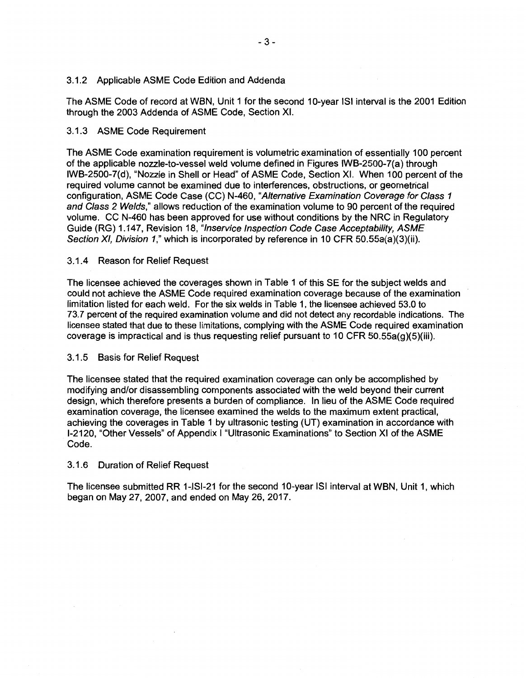# 3.1.2 Applicable ASME Code Edition and Addenda

The ASME Code of record at WBN, Unit 1 for the second 10-year ISi interval is the 2001 Edition through the 2003 Addenda of ASME Code, Section XI.

# 3.1.3 ASME Code Requirement

The ASME Code examination requirement is volumetric examination of essentially 100 percent of the applicable nozzle-to-vessel weld volume defined in Figures IWB-2500-7(a) through IWB-2500-7(d), "Nozzle in Shell or Head" of ASME Code, Section XI. When 100 percent of the required volume cannot be examined due to interferences, obstructions, or geometrical configuration, ASME Code Case (CC) N-460, "Alternative Examination Coverage for Class 1 and Class 2 Welds," allows reduction of the examination volume to 90 percent of the required volume. CC N-460 has been approved for use without conditions by the NRC in Regulatory Guide (RG) 1.147, Revision 18, "lnservice Inspection Code Case Acceptability, ASME Section XI, Division 1," which is incorporated by reference in 10 CFR 50.55a(a)(3)(ii).

# 3.1.4 Reason for Relief Request

The licensee achieved the coverages shown in Table 1 of this SE for the subject welds and could not achieve the ASME Code required examination coverage because of the examination limitation listed for each weld. For the six welds in Table 1, the licensee achieved 53.0 to 73. 7 percent of the required examination volume and did not detect any recordable indications. The licensee stated that due to these limitations, complying with the ASME Code required examination coverage is impractical and is thus requesting relief pursuant to 10 CFR  $50.55a(g)(5)(iii)$ .

# 3.1.5 Basis for Relief Request

The licensee stated that the required examination coverage can only be accomplished by modifying and/or disassembling components associated with the weld beyond their current design, which therefore presents a burden of compliance. In lieu of the ASME Code required examination coverage, the licensee examined the welds to the maximum extent practical, achieving the coverages in Table 1 by ultrasonic testing (UT) examination in accordance with 1-2120, "Other Vessels" of Appendix I "Ultrasonic Examinations" to Section XI of the ASME Code.

# 3.1.6 Duration of Relief Request

The licensee submitted RR 1-ISI-21 for the second 10-year ISI interval at WBN, Unit 1, which began on May 27, 2007, and ended on May 26, 2017.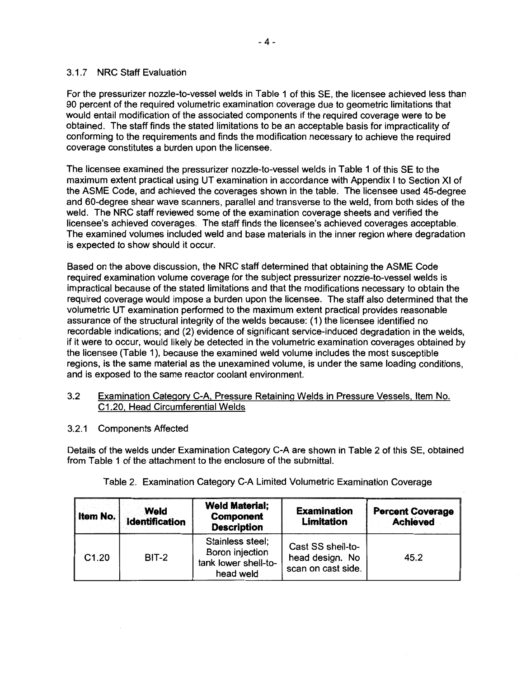# 3.1.7 NRC Staff Evaluation

For the pressurizer nozzle-to-vessel welds in Table 1 of this SE, the licensee achieved less than 90 percent of the required volumetric examination coverage due to geometric limitations that would entail modification of the associated components if the required coverage were to be obtained. The staff finds the stated limitations to be an acceptable basis for impracticality of conforming to the requirements and finds the modification necessary to achieve the required coverage constitutes a burden upon the licensee.

The licensee examined the pressurizer nozzle-to-vessel welds in Table 1 of this SE to the maximum extent practical using UT examination in accordance with Appendix I to Section XI of the ASME Code, and achieved the coverages shown in the table. The licensee used 45-degree and 60-degree shear wave scanners, parallel and transverse to the weld, from both sides of the weld. The NRC staff reviewed some of the examination coverage sheets and verified the licensee's achieved coverages. The staff finds the licensee's achieved coverages acceptable. The examined volumes included weld and base materials in the inner region where degradation is expected to show should it occur.

Based on the above discussion, the NRC staff determined that obtaining the ASME Code required examination volume coverage for the subject pressurizer nozzle-to-vessel welds is impractical because of the stated limitations and that the modifications necessary to obtain the required coverage would impose a burden upon the licensee. The staff also determined that the volumetric UT examination performed to the maximum extent practical provides reasonable assurance of the structural integrity of the welds because: (1) the licensee identified no recordable indications; and (2) evidence of significant service-induced degradation in the welds, if it were to occur, would likely be detected in the volumetric examination coverages obtained by the licensee (Table 1), because the examined weld volume includes the most susceptible regions, is the same material as the unexamined volume, is under the same loading conditions, and is exposed to the same reactor coolant environment.

# 3.2 Examination Category C-A Pressure Retaining Welds in Pressure Vessels, Item No. C1 .20, Head Circumferential Welds

3.2.1 Components Affected

Details of the welds under Examination Category C-A are shown in Table 2 of this SE, obtained from Table 1 of the attachment to the enclosure of the submittal.

| Item No. | Weld<br><b>Identification</b> | <b>Weld Material;</b><br><b>Component</b><br><b>Description</b>          | <b>Examination</b><br><b>Limitation</b>                    | <b>Percent Coverage</b><br><b>Achieved</b> |
|----------|-------------------------------|--------------------------------------------------------------------------|------------------------------------------------------------|--------------------------------------------|
| C1.20    | $BIT-2$                       | Stainless steel;<br>Boron injection<br>tank lower shell-to-<br>head weld | Cast SS shell-to-<br>head design. No<br>scan on cast side. | 45.2                                       |

#### Table 2. Examination Category C-A Limited Volumetric Examination Coverage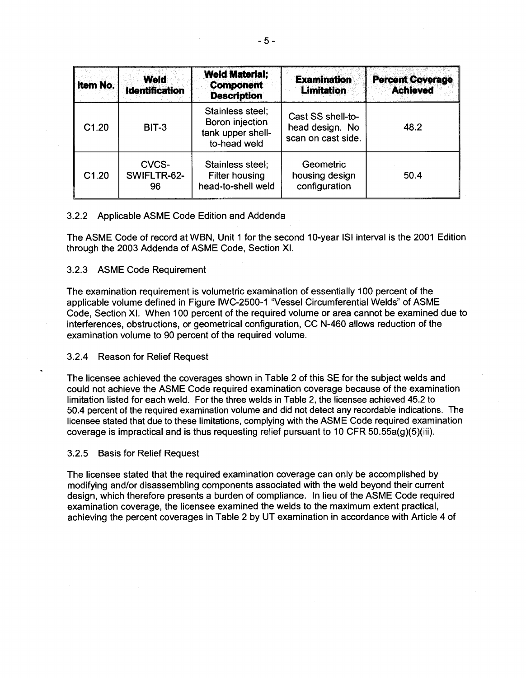| <b>Item No.</b> | <b>Weld</b><br><b>Identification</b> | <b>Weld Material:</b><br><b>Component</b><br><b>Description</b>          | <b>Examination</b><br><b>Limitation</b>                    | <b>Percent Coverage</b><br><b>Achieved</b> |
|-----------------|--------------------------------------|--------------------------------------------------------------------------|------------------------------------------------------------|--------------------------------------------|
| C1.20           | BIT-3                                | Stainless steel:<br>Boron injection<br>tank upper shell-<br>to-head weld | Cast SS shell-to-<br>head design. No<br>scan on cast side. | 48.2                                       |
| C1.20           | CVCS-<br>SWIFLTR-62-<br>96           | Stainless steel;<br><b>Filter housing</b><br>head-to-shell weld          | Geometric<br>housing design<br>configuration               | 50.4                                       |

## 3.2.2 Applicable ASME Code Edition and Addenda

The ASME Code of record at WBN, Unit 1 for the second 10-year ISi interval is the 2001 Edition through the 2003 Addenda of ASME Code, Section XI.

#### 3.2.3 ASME Code Requirement

The examination requirement is volumetric examination of essentially 100 percent of the applicable volume defined in Figure IWC-2500-1 "Vessel Circumferential Welds" of ASME Code, Section XI. When 100 percent of the required volume or area cannot be examined due to interferences, obstructions, or geometrical configuration, CC N-460 allows reduction of the examination volume to 90 percent of the required volume.

#### 3.2.4 Reason for Relief Request

The licensee achieved the coverages shown in Table 2 of this SE for the subject welds and could not achieve the ASME Code required examination coverage because of the examination limitation listed for each weld. For the three welds in Table 2, the licensee achieved 45.2 to 50.4 percent of the required examination volume and did not detect any recordable indications. The licensee stated that due to these limitations, complying with the ASME Code required examination coverage is impractical and is thus requesting relief pursuant to 10 CFR 50.55a(g)(5)(iii).

#### 3.2.5 Basis for Relief Request

The licensee stated that the required examination coverage can only be accomplished by modifying and/or disassembling components associated with the weld beyond their current design, which therefore presents a burden of compliance. In lieu of the ASME Code required examination coverage, the licensee examined the welds to the maximum extent practical, achieving the percent coverages in Table 2 by UT examination in accordance with Article 4 of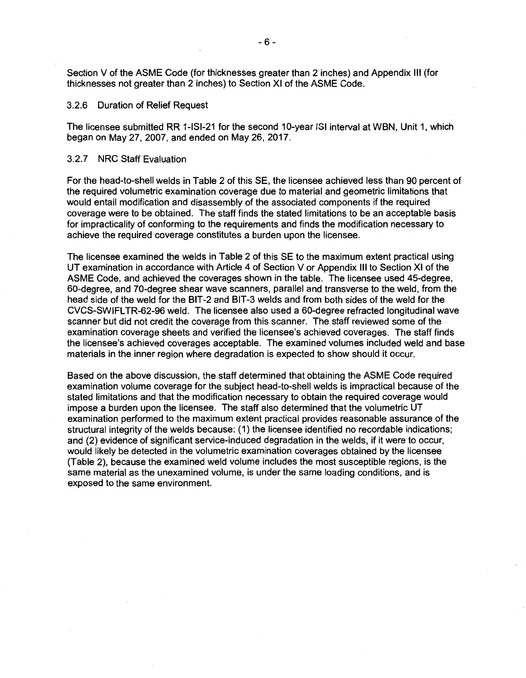Section V of the ASME Code (for thicknesses greater than 2 inches) and Appendix Ill (for thicknesses not greater than 2 inches) to Section XI of the ASME Code.

#### 3.2.6 Duration of Relief Request

The licensee submitted RR 1-ISl-21 for the second 10-year ISi interval at WBN, Unit 1, which began on May 27, 2007, and ended on May 26, 2017.

#### 3.2.7 NRC Staff Evaluation

For the head-to-shell welds in Table 2 of this SE, the licensee achieved less than 90 percent of the required volumetric examination coverage due to material and geometric limitations that would entail modification and disassembly of the associated components if the required coverage were to be obtained. The staff finds the stated limitations to be an acceptable basis for impracticality of conforming to the requirements and finds the modification necessary to achieve the required coverage constitutes a burden upon the licensee.

The licensee examined the welds in Table 2 of this SE to the maximum extent practical using UT examination in accordance with Article 4 of Section V or Appendix Ill to Section XI of the ASME Code, and achieved the coverages shown in the table. The licensee used 45-degree, 60-degree, and 70-degree shear wave scanners, parallel and transverse to the weld, from the head side of the weld for the BIT-2 and BIT-3 welds and from both sides of the weld for the CVCS-SWIFL TR-62-96 weld. The licensee also used a 60-degree refracted longitudinal wave scanner but did not credit the coverage from this scanner. The staff reviewed some of the examination coverage sheets and verified the licensee's achieved coverages. The staff finds the licensee's achieved coverages acceptable. The examined volumes included weld and base materials in the inner region where degradation is expected to show should it occur.

Based on the above discussion, the staff determined that obtaining the ASME Code required examination volume coverage for the subject head-to-shell welds is impractical because of the stated limitations and that the modification necessary to obtain the required coverage would impose a burden upon the licensee. The staff also determined that the volumetric UT examination performed to the maximum extent practical provides reasonable assurance of the structural integrity of the welds because: (1) the licensee identified no recordable indications; and (2) evidence of significant service-induced degradation in the welds, if it were to occur, would likely be detected in the volumetric examination coverages obtained by the licensee (Table 2), because the examined weld volume includes the most susceptible regions, is the same material as the unexamined volume, is under the same loading conditions, and is exposed to the same environment.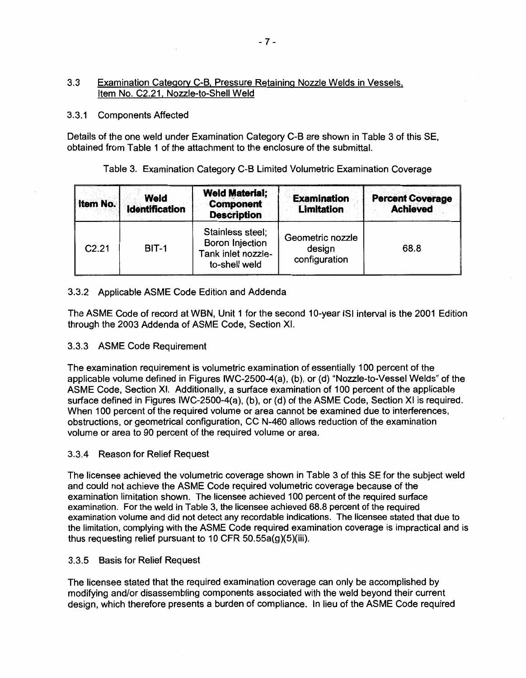# 3.3 Examination Category C-B, Pressure Retaining Nozzle Welds in Vessels, Item No. C2.21, Nozzle-to-Shell Weld

## 3.3.1 Components Affected

Details of the one weld under Examination Category C-B are shown in Table 3 of this SE, obtained from Table 1 of the attachment to the enclosure of the submittal.

# Table 3. Examination Category C-B Limited Volumetric Examination Coverage

| <b>Item No.</b>   | Weld<br><b>Identification</b> | <b>Weld Material;</b><br><b>Component</b><br><b>Description</b>                   | <b>Examination</b><br><b>Limitation</b>     | <b>Percent Coverage</b><br><b>Achieved</b> |
|-------------------|-------------------------------|-----------------------------------------------------------------------------------|---------------------------------------------|--------------------------------------------|
| C <sub>2.21</sub> | BIT-1                         | Stainless steel;<br><b>Boron Injection</b><br>Tank inlet nozzle-<br>to-shell weld | Geometric nozzle<br>design<br>configuration | 68.8                                       |

# 3.3.2 Applicable ASME Code Edition and Addenda

The ASME Code of record at WBN, Unit 1 for the second 10-year ISi interval is the 2001 Edition through the 2003 Addenda of ASME Code, Section XI.

# 3.3.3 ASME Code Requirement

The examination requirement is volumetric examination of essentially 100 percent of the applicable volume defined in Figures IWC-2500-4(a), (b), or (d) "Nozzle-to-Vessel Welds" of the ASME Code, Section XI. Additionally, a surface examination of 100 percent of the applicable surface defined in Figures IWC-2500-4(a), (b), or (d) of the ASME Code, Section XI is required. When 100 percent of the required volume or area cannot be examined due to interferences, obstructions, or geometrical configuration, CC N-460 allows reduction of the examination volume or area to 90 percent of the required volume or area.

# 3.3.4 Reason for Relief Request

The licensee achieved the volumetric coverage shown in Table 3 of this SE for the subject weld and could not achieve the ASME Code required volumetric coverage because of the examination limitation shown. The licensee achieved 100 percent of the required surface examination. For the weld in Table 3, the licensee achieved 68.8 percent of the required examination volume and did not detect any recordable indications. The licensee stated that due to the limitation, complying with the ASME Code required examination coverage is impractical and is thus requesting relief pursuant to 10 CFR 50.55a(g)(5)(iii).

# 3.3.5 Basis for Relief Request

The licensee stated that the required examination coverage can only be accomplished by modifying and/or disassembling components associated with the weld beyond their current design, which therefore presents a burden of compliance. In lieu of the ASME Code required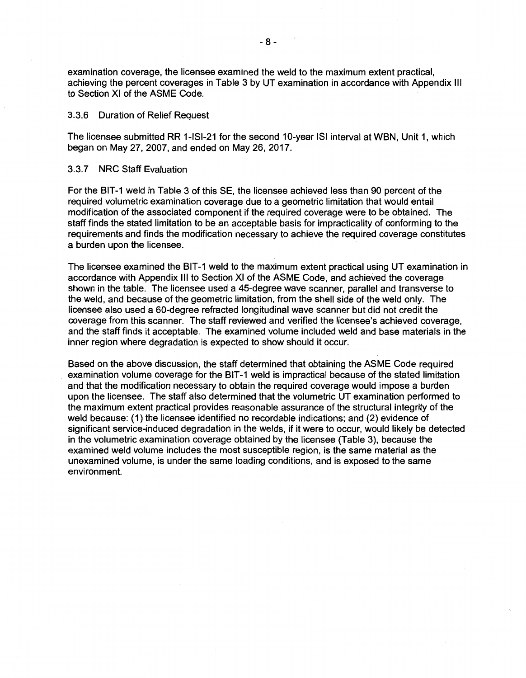examination coverage, the licensee examined the weld to the maximum extent practical, achieving the percent coverages in Table 3 by UT examination in accordance with Appendix Ill to Section XI of the ASME Code.

#### 3.3.6 Duration of Relief Request

The licensee submitted RR 1-ISl-21 for the second 10-year ISi interval at WBN, Unit 1, which began on May 27, 2007, and ended on May 26, 2017.

#### 3.3. 7 NRC Staff Evaluation

For the BIT-1 weld in Table 3 of this SE, the licensee achieved less than 90 percent of the required volumetric examination coverage due to a geometric limitation that would entail modification of the associated component if the required coverage were to be obtained. The staff finds the stated limitation to be an acceptable basis for impracticality of conforming to the requirements and finds the modification necessary to achieve the required coverage constitutes a burden upon the licensee.

The licensee examined the BIT-1 weld to the maximum extent practical using UT examination in accordance with Appendix Ill to Section XI of the ASME Code, and achieved the coverage shown in the table. The licensee used a 45-degree wave scanner, parallel and transverse to the weld, and because of the geometric limitation, from the shell side of the weld only. The licensee also used a 60-degree refracted longitudinal wave scanner but did not credit the coverage from this scanner. The staff reviewed and verified the licensee's achieved coverage, and the staff finds it acceptable. The examined volume included weld and base materials in the inner region where degradation is expected to show should it occur.

Based on the above discussion, the staff determined that obtaining the ASME Code required examination volume coverage for the BIT-1 weld is impractical because of the stated limitation and that the modification necessary to obtain the required coverage would impose a burden upon the licensee. The staff also determined that the volumetric UT examination performed to the maximum extent practical provides reasonable assurance of the structural integrity of the weld because: (1) the licensee identified no recordable indications; and (2) evidence of significant service-induced degradation in the welds, if it were to occur, would likely be detected in the volumetric examination coverage obtained by the licensee (Table 3), because the examined weld volume includes the most susceptible region, is the same material as the unexamined volume, is under the same loading conditions, and is exposed to the same environment.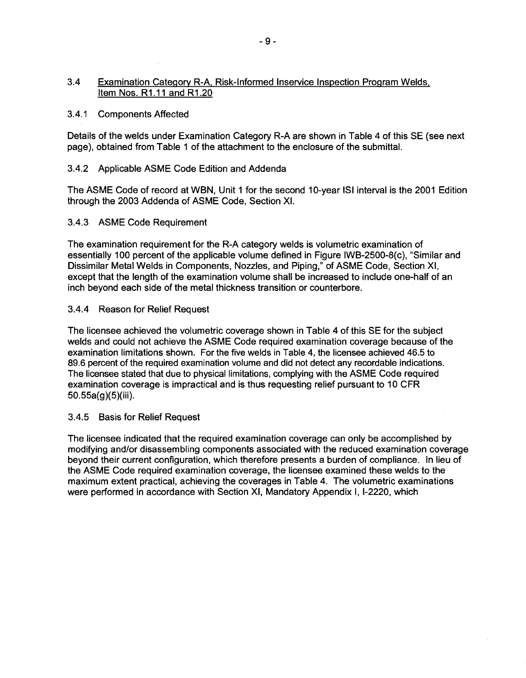## 3.4 Examination Category R-A, Risk-Informed lnservice Inspection Program Welds, Item Nos. R1 .11 and R1 .20

#### 3.4.1 Components Affected

Details of the welds under Examination Category R-A are shown in Table 4 of this SE (see next page), obtained from Table 1 of the attachment to the enclosure of the submittal.

#### 3.4.2 Applicable ASME Code Edition and Addenda

The ASME Code of record at WBN, Unit 1 for the second 10-year ISi interval is the 2001 Edition through the 2003 Addenda of ASME Code, Section XI.

#### 3.4.3 ASME Code Requirement

The examination requirement for the R-A category welds is volumetric examination of essentially 100 percent of the applicable volume defined in Figure IWB-2500-B(c), "Similar and Dissimilar Metal Welds in Components, Nozzles, and Piping," of ASME Code, Section XI, except that the length of the examination volume shall be increased to include one-half of an inch beyond each side of the metal thickness transition or counterbore.

#### 3.4.4 Reason for Relief Request

The licensee achieved the volumetric coverage shown in Table 4 of this SE for the subject welds and could not achieve the ASME Code required examination coverage because of the examination limitations shown. For the five welds in Table 4, the licensee achieved 46.5 to 89.6 percent of the required examination volume and did not detect any recordable indications. The licensee stated that due to physical limitations, complying with the ASME Code required examination coverage is impractical and is thus requesting relief pursuant to 10 CFR 50.55a(g)(5)(iii).

#### 3.4.5 Basis for Relief Request

The licensee indicated that the required examination coverage can only be accomplished by modifying and/or disassembling components associated with the reduced examination coverage beyond their current configuration, which therefore presents a burden of compliance. In lieu of the ASME Code required examination coverage, the licensee examined these welds to the maximum extent practical, achieving the coverages in Table 4. The volumetric examinations were performed in accordance with Section XI, Mandatory Appendix I, 1-2220, which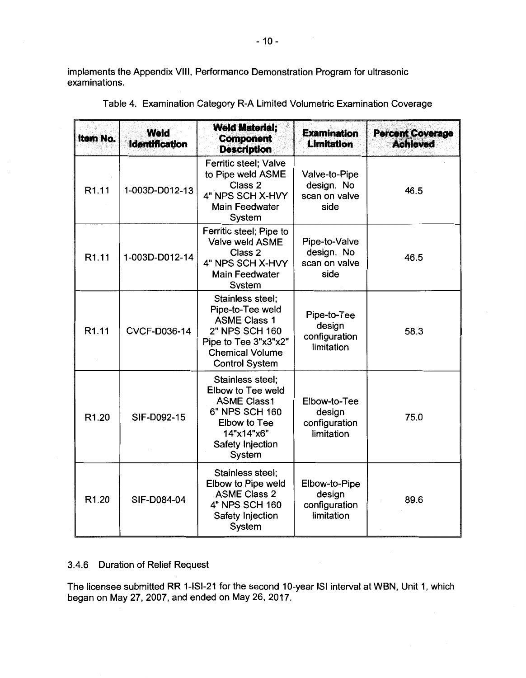implements the Appendix VIII, Performance Demonstration Program for ultrasonic examinations.

| <b>Item No.</b>   | Weld<br><b>Identification</b> | <b>Weld Material:</b><br><b>Component</b><br><b>Description</b>                                                                                                                                    | <b>Examination</b><br><b>Limitation</b>                | <b>Percent Coverage</b><br><b>Achieved</b> |
|-------------------|-------------------------------|----------------------------------------------------------------------------------------------------------------------------------------------------------------------------------------------------|--------------------------------------------------------|--------------------------------------------|
| R <sub>1.11</sub> | 1-003D-D012-13                | Ferritic steel; Valve<br>to Pipe weld ASME<br>Class 2<br>4" NPS SCH X-HVY<br><b>Main Feedwater</b><br>System                                                                                       | Valve-to-Pipe<br>design. No<br>scan on valve<br>side   | 46.5                                       |
| R <sub>1.11</sub> | 1-003D-D012-14                | Ferritic steel; Pipe to<br>Valve weld ASME<br>Class 2<br>4" NPS SCH X-HVY<br><b>Main Feedwater</b><br>System                                                                                       | Pipe-to-Valve<br>design. No<br>scan on valve<br>side   | 46.5                                       |
| R <sub>1.11</sub> | <b>CVCF-D036-14</b>           | Stainless steel;<br>Pipe-to-Tee weld<br><b>ASME Class 1</b><br>2" NPS SCH 160<br>Pipe to Tee 3"x3"x2"<br><b>Chemical Volume</b><br><b>Control System</b>                                           | Pipe-to-Tee<br>design<br>configuration<br>limitation   | 58.3                                       |
| R <sub>1.20</sub> | SIF-D092-15                   | Stainless steel;<br>Elbow to Tee weld<br><b>ASME Class1</b><br>Elbow-to-Tee<br>6" NPS SCH 160<br>design<br>configuration<br>Elbow to Tee<br>limitation<br>14"x14"x6"<br>Safety Injection<br>System |                                                        | 75.0                                       |
| R <sub>1.20</sub> | SIF-D084-04                   | Stainless steel;<br>Elbow to Pipe weld<br><b>ASME Class 2</b><br>4" NPS SCH 160<br>Safety Injection<br>System                                                                                      | Elbow-to-Pipe<br>design<br>configuration<br>limitation | 89.6                                       |

Table 4. Examination Category R-A Limited Volumetric Examination Coverage

# 3.4.6 Duration of Relief Request

The licensee submitted RR 1-ISl-21 for the second 10-year ISi interval at WBN, Unit 1, which began on May 27, 2007, and ended on May 26, 2017.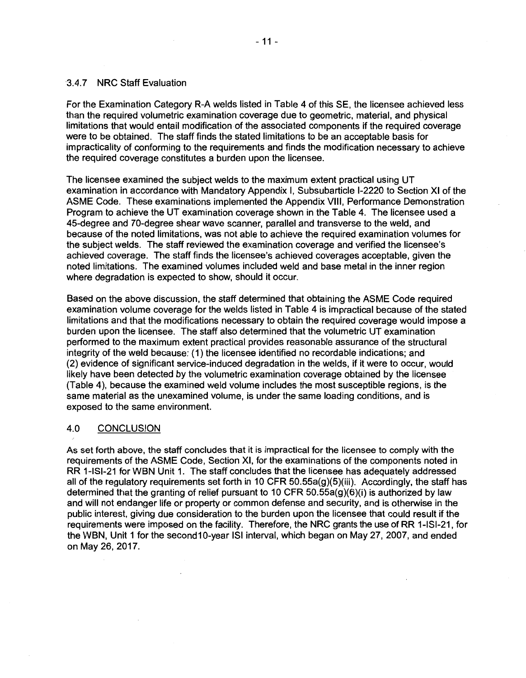#### ·3.4. 7 NRC Staff Evaluation

For the Examination Category R-A welds listed in Table 4 of this SE, the licensee achieved less than the required volumetric examination coverage due to geometric, material, and physical limitations that would entail modification of the associated components if the required coverage were to be obtained. The staff finds the stated limitations to be an acceptable basis for impracticality of conforming to the requirements and finds the modification necessary to achieve the required coverage constitutes a burden upon the licensee.

The licensee examined the subject welds to the maximum extent practical using UT examination in accordance with Mandatory Appendix I, Subsubarticle 1-2220 to Section XI of the ASME Code. These examinations implemented the Appendix VIII, Performance Demonstration Program to achieve the UT examination coverage shown in the Table 4. The licensee used a 45-degree and 70-degree shear wave scanner, parallel and transverse to the weld, and because of the noted limitations, was not able to achieve the required examination volumes for the subject welds. The staff reviewed the examination coverage and verified the licensee's achieved coverage. The staff finds the licensee's achieved coverages acceptable, given the noted limitations. The examined volumes included weld and base metal in the inner region where degradation is expected to show, should it occur.

Based on the above discussion, the staff determined that obtaining the ASME Code required examination volume coverage for the welds listed in Table 4 is impractical because of the stated limitations and that the modifications necessary to obtain the required coverage would impose a burden upon the licensee. The staff also determined that the volumetric UT examination performed to the maximum extent practical provides reasonable assurance of the structural integrity of the weld because: (1) the licensee identified no recordable indications; and (2) evidence of significant service-induced degradation in the welds, if it were to occur, would likely have been detected by the volumetric examination coverage obtained by the licensee (Table 4), because the examined weld volume includes the most susceptible regions, is the same material as the unexamined volume, is under the same loading conditions, and is exposed to the same environment.

# 4.0 CONCLUSION

As set forth above, the staff concludes that it is impractical for the licensee to comply with the requirements of the ASME Code, Section XI, for the examinations of the components noted in RR 1-ISl-21 for WBN Unit 1. The staff concludes that the licensee has adequately addressed all of the regulatory requirements set forth in 10 CFR  $50.55a(q)(5)(iii)$ . Accordingly, the staff has determined that the granting of relief pursuant to 10 CFR 50.55a(g)(6)(i) is authorized by law and will not endanger life or property or common defense and security, and is otherwise in the public interest, giving due consideration to the burden upon the licensee that could result if the requirements were imposed on the facility. Therefore, the NRC grants the use of RR 1-ISl-21, for the WBN, Unit 1 for the second10-year ISi interval, which began on May 27, 2007, and ended on May 26, 2017.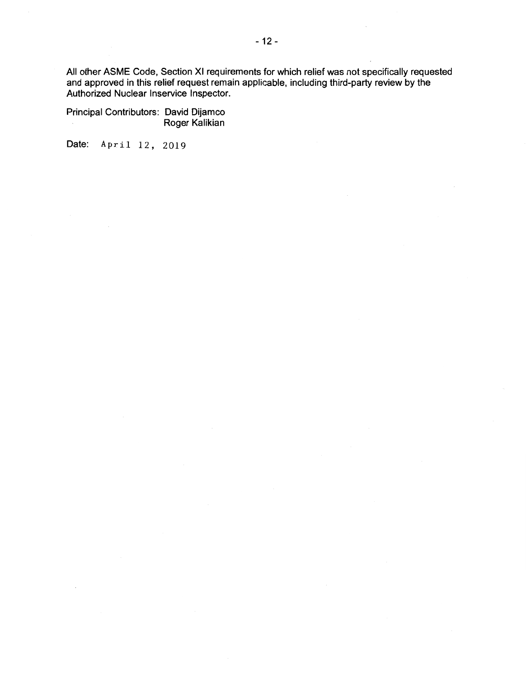All other ASME Code, Section XI requirements for which relief was not specifically requested and approved in this relief request remain applicable, including third-party review by the Authorized Nuclear lnservice Inspector.

Principal Contributors: David Dijamco Roger Kalikian

Date: April 12, 2019